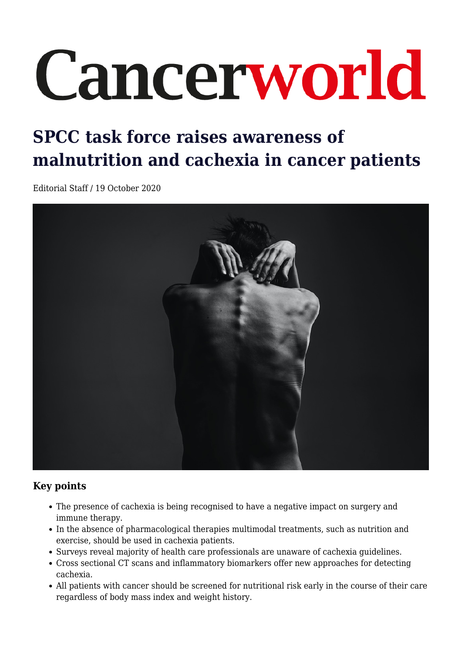# Cancerworld

# **SPCC task force raises awareness of malnutrition and cachexia in cancer patients**

Editorial Staff / 19 October 2020



### **Key points**

- The presence of cachexia is being recognised to have a negative impact on surgery and immune therapy.
- In the absence of pharmacological therapies multimodal treatments, such as nutrition and exercise, should be used in cachexia patients.
- Surveys reveal majority of health care professionals are unaware of cachexia guidelines.
- Cross sectional CT scans and inflammatory biomarkers offer new approaches for detecting cachexia.
- All patients with cancer should be screened for nutritional risk early in the course of their care regardless of body mass index and weight history.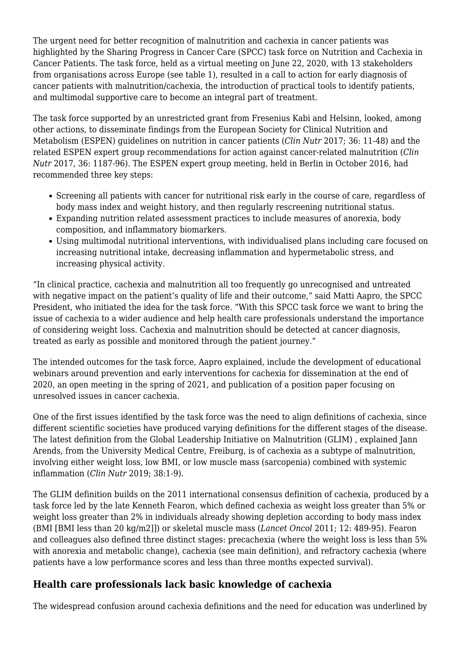The urgent need for better recognition of malnutrition and cachexia in cancer patients was highlighted by the Sharing Progress in Cancer Care (SPCC) task force on Nutrition and Cachexia in Cancer Patients. The task force, held as a virtual meeting on June 22, 2020, with 13 stakeholders from organisations across Europe (see table 1), resulted in a call to action for early diagnosis of cancer patients with malnutrition/cachexia, the introduction of practical tools to identify patients, and multimodal supportive care to become an integral part of treatment.

The task force supported by an unrestricted grant from Fresenius Kabi and Helsinn, looked, among other actions, to disseminate findings from the European Society for Clinical Nutrition and Metabolism (ESPEN) guidelines on nutrition in cancer patients (*Clin Nutr* 2017; 36: 11-48) and the related ESPEN expert group recommendations for action against cancer-related malnutrition (*Clin Nutr* 2017, 36: 1187-96). The ESPEN expert group meeting, held in Berlin in October 2016, had recommended three key steps:

- Screening all patients with cancer for nutritional risk early in the course of care, regardless of body mass index and weight history, and then regularly rescreening nutritional status.
- Expanding nutrition related assessment practices to include measures of anorexia, body composition, and inflammatory biomarkers.
- Using multimodal nutritional interventions, with individualised plans including care focused on increasing nutritional intake, decreasing inflammation and hypermetabolic stress, and increasing physical activity.

"In clinical practice, cachexia and malnutrition all too frequently go unrecognised and untreated with negative impact on the patient's quality of life and their outcome," said Matti Aapro, the SPCC President, who initiated the idea for the task force. "With this SPCC task force we want to bring the issue of cachexia to a wider audience and help health care professionals understand the importance of considering weight loss. Cachexia and malnutrition should be detected at cancer diagnosis, treated as early as possible and monitored through the patient journey."

The intended outcomes for the task force, Aapro explained, include the development of educational webinars around prevention and early interventions for cachexia for dissemination at the end of 2020, an open meeting in the spring of 2021, and publication of a position paper focusing on unresolved issues in cancer cachexia.

One of the first issues identified by the task force was the need to align definitions of cachexia, since different scientific societies have produced varying definitions for the different stages of the disease. The latest definition from the Global Leadership Initiative on Malnutrition (GLIM) , explained Jann Arends, from the University Medical Centre, Freiburg, is of cachexia as a subtype of malnutrition, involving either weight loss, low BMI, or low muscle mass (sarcopenia) combined with systemic inflammation (*Clin Nutr* 2019; 38:1-9).

The GLIM definition builds on the 2011 international consensus definition of cachexia, produced by a task force led by the late Kenneth Fearon, which defined cachexia as weight loss greater than 5% or weight loss greater than 2% in individuals already showing depletion according to body mass index (BMI [BMI less than 20 kg/m2]]) or skeletal muscle mass (*Lancet Oncol* 2011; 12: 489-95). Fearon and colleagues also defined three distinct stages: precachexia (where the weight loss is less than 5% with anorexia and metabolic change), cachexia (see main definition), and refractory cachexia (where patients have a low performance scores and less than three months expected survival).

# **Health care professionals lack basic knowledge of cachexia**

The widespread confusion around cachexia definitions and the need for education was underlined by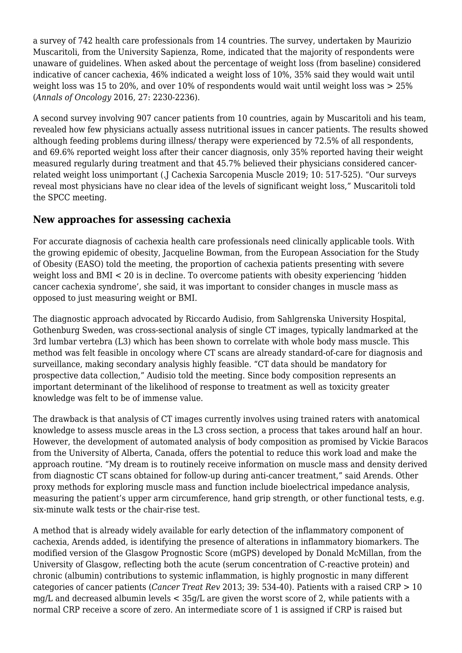a survey of 742 health care professionals from 14 countries. The survey, undertaken by Maurizio Muscaritoli, from the University Sapienza, Rome, indicated that the majority of respondents were unaware of guidelines. When asked about the percentage of weight loss (from baseline) considered indicative of cancer cachexia, 46% indicated a weight loss of 10%, 35% said they would wait until weight loss was 15 to 20%, and over 10% of respondents would wait until weight loss was > 25% (*Annals of Oncology* 2016, 27: 2230-2236).

A second survey involving 907 cancer patients from 10 countries, again by Muscaritoli and his team, revealed how few physicians actually assess nutritional issues in cancer patients. The results showed although feeding problems during illness/ therapy were experienced by 72.5% of all respondents, and 69.6% reported weight loss after their cancer diagnosis, only 35% reported having their weight measured regularly during treatment and that 45.7% believed their physicians considered cancerrelated weight loss unimportant (.J Cachexia Sarcopenia Muscle 2019; 10: 517-525). "Our surveys reveal most physicians have no clear idea of the levels of significant weight loss," Muscaritoli told the SPCC meeting.

### **New approaches for assessing cachexia**

For accurate diagnosis of cachexia health care professionals need clinically applicable tools. With the growing epidemic of obesity, Jacqueline Bowman, from the European Association for the Study of Obesity (EASO) told the meeting, the proportion of cachexia patients presenting with severe weight loss and BMI < 20 is in decline. To overcome patients with obesity experiencing 'hidden cancer cachexia syndrome', she said, it was important to consider changes in muscle mass as opposed to just measuring weight or BMI.

The diagnostic approach advocated by Riccardo Audisio, from Sahlgrenska University Hospital, Gothenburg Sweden, was cross-sectional analysis of single CT images, typically landmarked at the 3rd lumbar vertebra (L3) which has been shown to correlate with whole body mass muscle. This method was felt feasible in oncology where CT scans are already standard-of-care for diagnosis and surveillance, making secondary analysis highly feasible. "CT data should be mandatory for prospective data collection," Audisio told the meeting. Since body composition represents an important determinant of the likelihood of response to treatment as well as toxicity greater knowledge was felt to be of immense value.

The drawback is that analysis of CT images currently involves using trained raters with anatomical knowledge to assess muscle areas in the L3 cross section, a process that takes around half an hour. However, the development of automated analysis of body composition as promised by Vickie Baracos from the University of Alberta, Canada, offers the potential to reduce this work load and make the approach routine. "My dream is to routinely receive information on muscle mass and density derived from diagnostic CT scans obtained for follow-up during anti-cancer treatment," said Arends. Other proxy methods for exploring muscle mass and function include bioelectrical impedance analysis, measuring the patient's upper arm circumference, hand grip strength, or other functional tests, e.g. six-minute walk tests or the chair-rise test.

A method that is already widely available for early detection of the inflammatory component of cachexia, Arends added, is identifying the presence of alterations in inflammatory biomarkers. The modified version of the Glasgow Prognostic Score (mGPS) developed by Donald McMillan, from the University of Glasgow, reflecting both the acute (serum concentration of C-reactive protein) and chronic (albumin) contributions to systemic inflammation, is highly prognostic in many different categories of cancer patients (*Cancer Treat Rev* 2013; 39: 534-40). Patients with a raised CRP > 10 mg/L and decreased albumin levels < 35g/L are given the worst score of 2, while patients with a normal CRP receive a score of zero. An intermediate score of 1 is assigned if CRP is raised but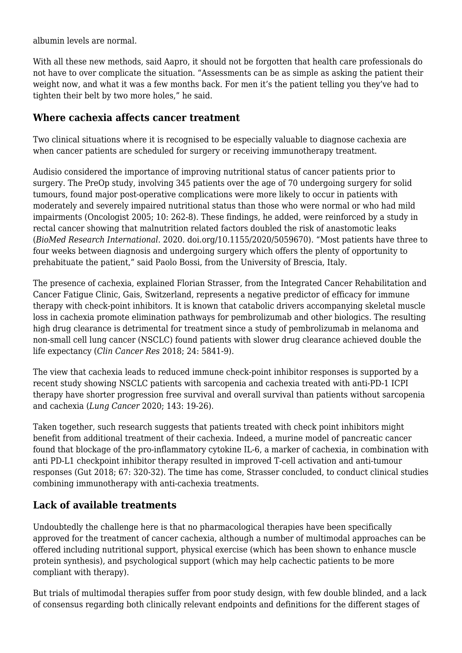albumin levels are normal.

With all these new methods, said Aapro, it should not be forgotten that health care professionals do not have to over complicate the situation. "Assessments can be as simple as asking the patient their weight now, and what it was a few months back. For men it's the patient telling you they've had to tighten their belt by two more holes," he said.

#### **Where cachexia affects cancer treatment**

Two clinical situations where it is recognised to be especially valuable to diagnose cachexia are when cancer patients are scheduled for surgery or receiving immunotherapy treatment.

Audisio considered the importance of improving nutritional status of cancer patients prior to surgery. The PreOp study, involving 345 patients over the age of 70 undergoing surgery for solid tumours, found major post-operative complications were more likely to occur in patients with moderately and severely impaired nutritional status than those who were normal or who had mild impairments (Oncologist 2005; 10: 262-8). These findings, he added, were reinforced by a study in rectal cancer showing that malnutrition related factors doubled the risk of anastomotic leaks (*BioMed Research International*. 2020. doi.org/10.1155/2020/5059670). "Most patients have three to four weeks between diagnosis and undergoing surgery which offers the plenty of opportunity to prehabituate the patient," said Paolo Bossi, from the University of Brescia, Italy.

The presence of cachexia, explained Florian Strasser, from the Integrated Cancer Rehabilitation and Cancer Fatigue Clinic, Gais, Switzerland, represents a negative predictor of efficacy for immune therapy with check-point inhibitors. It is known that catabolic drivers accompanying skeletal muscle loss in cachexia promote elimination pathways for pembrolizumab and other biologics. The resulting high drug clearance is detrimental for treatment since a study of pembrolizumab in melanoma and non-small cell lung cancer (NSCLC) found patients with slower drug clearance achieved double the life expectancy (*Clin Cancer Res* 2018; 24: 5841-9).

The view that cachexia leads to reduced immune check-point inhibitor responses is supported by a recent study showing NSCLC patients with sarcopenia and cachexia treated with anti-PD-1 ICPI therapy have shorter progression free survival and overall survival than patients without sarcopenia and cachexia (*Lung Cancer* 2020; 143: 19-26).

Taken together, such research suggests that patients treated with check point inhibitors might benefit from additional treatment of their cachexia. Indeed, a murine model of pancreatic cancer found that blockage of the pro-inflammatory cytokine IL-6, a marker of cachexia, in combination with anti PD-L1 checkpoint inhibitor therapy resulted in improved T-cell activation and anti-tumour responses (Gut 2018; 67: 320-32). The time has come, Strasser concluded, to conduct clinical studies combining immunotherapy with anti-cachexia treatments.

# **Lack of available treatments**

Undoubtedly the challenge here is that no pharmacological therapies have been specifically approved for the treatment of cancer cachexia, although a number of multimodal approaches can be offered including nutritional support, physical exercise (which has been shown to enhance muscle protein synthesis), and psychological support (which may help cachectic patients to be more compliant with therapy).

But trials of multimodal therapies suffer from poor study design, with few double blinded, and a lack of consensus regarding both clinically relevant endpoints and definitions for the different stages of